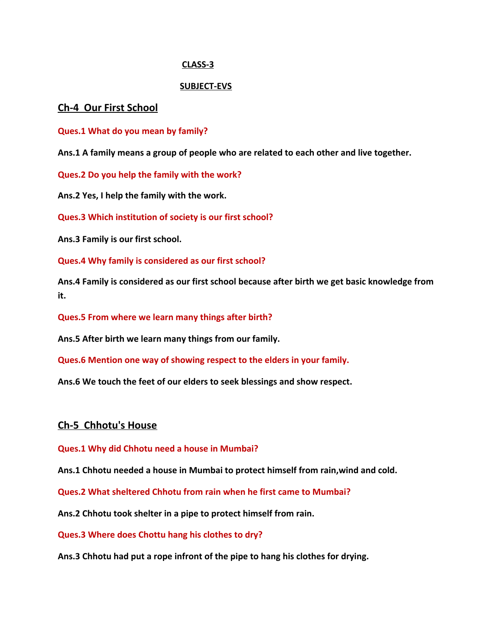#### **CLASS-3**

#### **SUBJECT-EVS**

#### **Ch-4 Our First School**

**Ques.1 What do you mean by family?**

**Ans.1 A family means a group of people who are related to each other and live together.**

**Ques.2 Do you help the family with the work?**

**Ans.2 Yes, I help the family with the work.**

**Ques.3 Which institution of society is our first school?**

**Ans.3 Family is our first school.**

**Ques.4 Why family is considered as our first school?**

**Ans.4 Family is considered as our first school because after birth we get basic knowledge from it.**

**Ques.5 From where we learn many things after birth?**

**Ans.5 After birth we learn many things from our family.**

**Ques.6 Mention one way of showing respect to the elders in your family.**

**Ans.6 We touch the feet of our elders to seek blessings and show respect.**

### **Ch-5 Chhotu's House**

**Ques.1 Why did Chhotu need a house in Mumbai?**

**Ans.1 Chhotu needed a house in Mumbai to protect himself from rain,wind and cold.**

**Ques.2 What sheltered Chhotu from rain when he first came to Mumbai?**

**Ans.2 Chhotu took shelter in a pipe to protect himself from rain.**

**Ques.3 Where does Chottu hang his clothes to dry?**

**Ans.3 Chhotu had put a rope infront of the pipe to hang his clothes for drying.**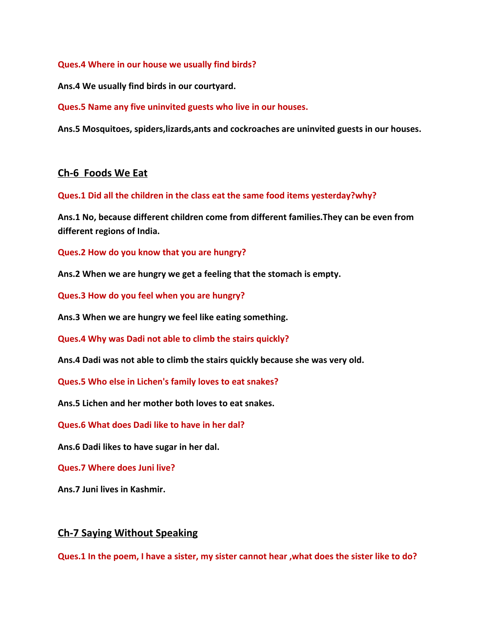**Ques.4 Where in our house we usually find birds?**

**Ans.4 We usually find birds in our courtyard.**

**Ques.5 Name any five uninvited guests who live in our houses.**

**Ans.5 Mosquitoes, spiders,lizards,ants and cockroaches are uninvited guests in our houses.**

### **Ch-6 Foods We Eat**

**Ques.1 Did all the children in the class eat the same food items yesterday?why?**

**Ans.1 No, because different children come from different families.They can be even from different regions of India.**

**Ques.2 How do you know that you are hungry?**

**Ans.2 When we are hungry we get a feeling that the stomach is empty.**

**Ques.3 How do you feel when you are hungry?**

**Ans.3 When we are hungry we feel like eating something.**

**Ques.4 Why was Dadi not able to climb the stairs quickly?**

**Ans.4 Dadi was not able to climb the stairs quickly because she was very old.**

**Ques.5 Who else in Lichen's family loves to eat snakes?**

**Ans.5 Lichen and her mother both loves to eat snakes.**

**Ques.6 What does Dadi like to have in her dal?**

**Ans.6 Dadi likes to have sugar in her dal.**

**Ques.7 Where does Juni live?**

**Ans.7 Juni lives in Kashmir.**

### **Ch-7 Saying Without Speaking**

**Ques.1 In the poem, I have a sister, my sister cannot hear ,what does the sister like to do?**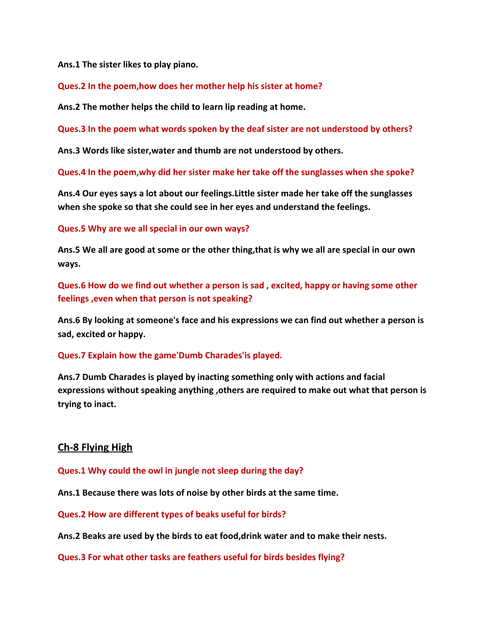**Ans.1 The sister likes to play piano.**

**Ques.2 In the poem,how does her mother help his sister at home?**

**Ans.2 The mother helps the child to learn lip reading at home.**

**Ques.3 In the poem what words spoken by the deaf sister are not understood by others?**

**Ans.3 Words like sister,water and thumb are not understood by others.**

**Ques.4 In the poem,why did her sister make her take off the sunglasses when she spoke?**

**Ans.4 Our eyes says a lot about our feelings.Little sister made her take off the sunglasses when she spoke so that she could see in her eyes and understand the feelings.**

**Ques.5 Why are we all special in our own ways?**

**Ans.5 We all are good at some or the other thing,that is why we all are special in our own ways.**

**Ques.6 How do we find out whether a person is sad , excited, happy or having some other feelings ,even when that person is not speaking?**

**Ans.6 By looking at someone's face and his expressions we can find out whether a person is sad, excited or happy.**

**Ques.7 Explain how the game'Dumb Charades'is played.**

**Ans.7 Dumb Charades is played by inacting something only with actions and facial expressions without speaking anything ,others are required to make out what that person is trying to inact.**

# **Ch-8 Flying High**

**Ques.1 Why could the owl in jungle not sleep during the day?**

**Ans.1 Because there was lots of noise by other birds at the same time.**

**Ques.2 How are different types of beaks useful for birds?**

**Ans.2 Beaks are used by the birds to eat food,drink water and to make their nests.**

**Ques.3 For what other tasks are feathers useful for birds besides flying?**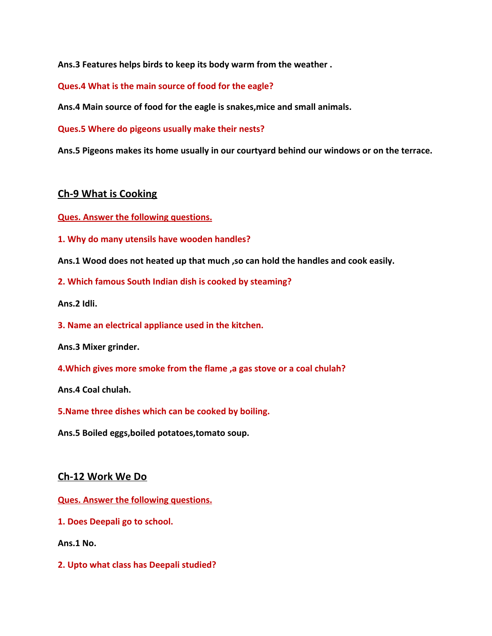**Ans.3 Features helps birds to keep its body warm from the weather .**

**Ques.4 What is the main source of food for the eagle?**

**Ans.4 Main source of food for the eagle is snakes,mice and small animals.**

**Ques.5 Where do pigeons usually make their nests?**

**Ans.5 Pigeons makes its home usually in our courtyard behind our windows or on the terrace.**

### **Ch-9 What is Cooking**

**Ques. Answer the following questions.**

**1. Why do many utensils have wooden handles?**

**Ans.1 Wood does not heated up that much ,so can hold the handles and cook easily.**

**2. Which famous South Indian dish is cooked by steaming?**

**Ans.2 Idli.**

**3. Name an electrical appliance used in the kitchen.**

**Ans.3 Mixer grinder.**

**4.Which gives more smoke from the flame ,a gas stove or a coal chulah?**

**Ans.4 Coal chulah.**

**5.Name three dishes which can be cooked by boiling.**

**Ans.5 Boiled eggs,boiled potatoes,tomato soup.**

### **Ch-12 Work We Do**

**Ques. Answer the following questions.**

**1. Does Deepali go to school.**

**Ans.1 No.**

**2. Upto what class has Deepali studied?**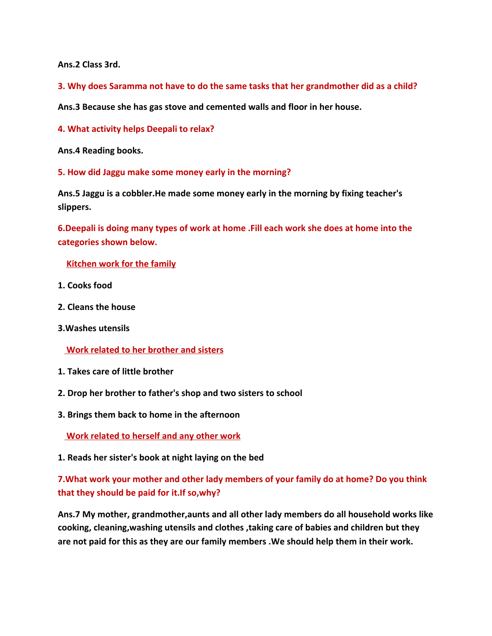**Ans.2 Class 3rd.**

**3. Why does Saramma not have to do the same tasks that her grandmother did as a child?**

**Ans.3 Because she has gas stove and cemented walls and floor in her house.**

**4. What activity helps Deepali to relax?**

**Ans.4 Reading books.**

**5. How did Jaggu make some money early in the morning?**

**Ans.5 Jaggu is a cobbler.He made some money early in the morning by fixing teacher's slippers.**

**6.Deepali is doing many types of work at home .Fill each work she does at home into the categories shown below.**

 **Kitchen work for the family**

- **1. Cooks food**
- **2. Cleans the house**
- **3.Washes utensils**

 **Work related to her brother and sisters**

- **1. Takes care of little brother**
- **2. Drop her brother to father's shop and two sisters to school**
- **3. Brings them back to home in the afternoon**

 **Work related to herself and any other work**

**1. Reads her sister's book at night laying on the bed**

# **7.What work your mother and other lady members of your family do at home? Do you think that they should be paid for it.If so,why?**

**Ans.7 My mother, grandmother,aunts and all other lady members do all household works like cooking, cleaning,washing utensils and clothes ,taking care of babies and children but they are not paid for this as they are our family members .We should help them in their work.**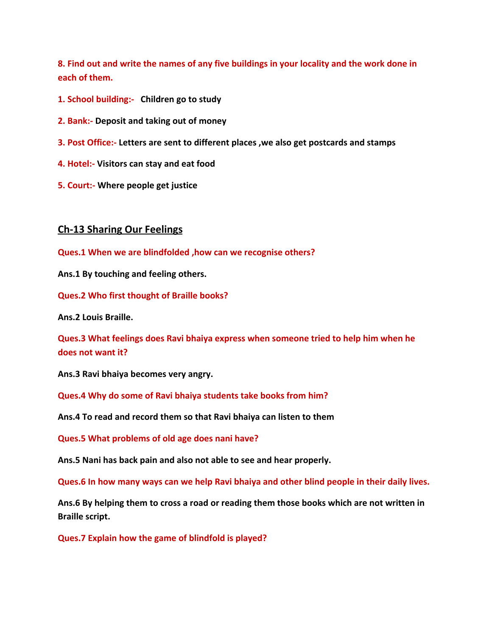**8. Find out and write the names of any five buildings in your locality and the work done in each of them.**

- **1. School building:- Children go to study**
- **2. Bank:- Deposit and taking out of money**
- **3. Post Office:- Letters are sent to different places ,we also get postcards and stamps**
- **4. Hotel:- Visitors can stay and eat food**
- **5. Court:- Where people get justice**

### **Ch-13 Sharing Our Feelings**

**Ques.1 When we are blindfolded ,how can we recognise others?**

**Ans.1 By touching and feeling others.**

**Ques.2 Who first thought of Braille books?**

**Ans.2 Louis Braille.**

**Ques.3 What feelings does Ravi bhaiya express when someone tried to help him when he does not want it?**

**Ans.3 Ravi bhaiya becomes very angry.**

**Ques.4 Why do some of Ravi bhaiya students take books from him?**

**Ans.4 To read and record them so that Ravi bhaiya can listen to them**

**Ques.5 What problems of old age does nani have?**

**Ans.5 Nani has back pain and also not able to see and hear properly.**

**Ques.6 In how many ways can we help Ravi bhaiya and other blind people in their daily lives.**

**Ans.6 By helping them to cross a road or reading them those books which are not written in Braille script.**

**Ques.7 Explain how the game of blindfold is played?**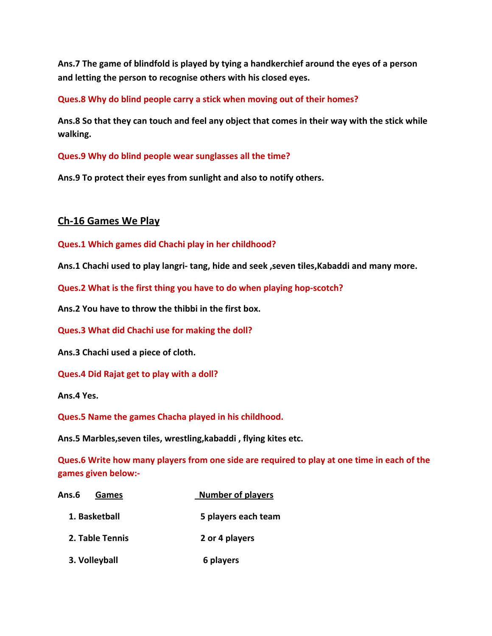**Ans.7 The game of blindfold is played by tying a handkerchief around the eyes of a person and letting the person to recognise others with his closed eyes.**

**Ques.8 Why do blind people carry a stick when moving out of their homes?**

**Ans.8 So that they can touch and feel any object that comes in their way with the stick while walking.**

**Ques.9 Why do blind people wear sunglasses all the time?**

**Ans.9 To protect their eyes from sunlight and also to notify others.**

# **Ch-16 Games We Play**

**Ques.1 Which games did Chachi play in her childhood?**

**Ans.1 Chachi used to play langri- tang, hide and seek ,seven tiles,Kabaddi and many more.**

**Ques.2 What is the first thing you have to do when playing hop-scotch?**

**Ans.2 You have to throw the thibbi in the first box.**

**Ques.3 What did Chachi use for making the doll?**

**Ans.3 Chachi used a piece of cloth.**

**Ques.4 Did Rajat get to play with a doll?**

**Ans.4 Yes.**

**Ques.5 Name the games Chacha played in his childhood.**

**Ans.5 Marbles,seven tiles, wrestling,kabaddi , flying kites etc.**

**Ques.6 Write how many players from one side are required to play at one time in each of the games given below:-**

| Ans.6<br>Games  | <b>Number of players</b> |
|-----------------|--------------------------|
| 1. Basketball   | 5 players each team      |
| 2. Table Tennis | 2 or 4 players           |
| 3. Volleyball   | 6 players                |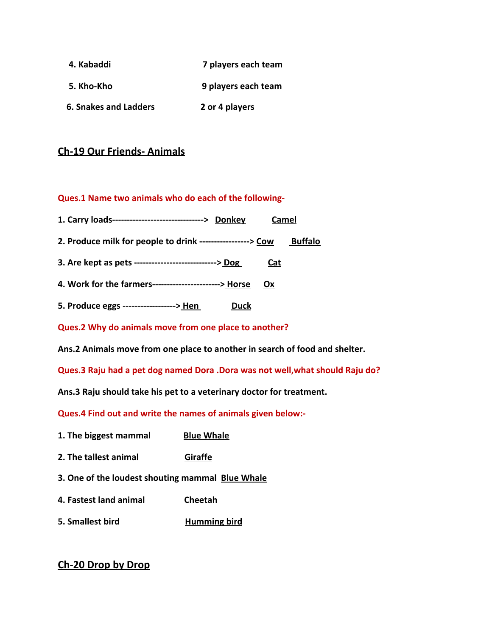- **4. Kabaddi 7 players each team**
- **5. Kho-Kho 9 players each team**
- **6. Snakes and Ladders 2 or 4 players**

## **Ch-19 Our Friends- Animals**

#### **Ques.1 Name two animals who do each of the following-**

| 1. Carry loads-------------------------------> Donkey<br>Camel              |  |
|-----------------------------------------------------------------------------|--|
| 2. Produce milk for people to drink -----------------> Cow<br>Buffalo       |  |
| 3. Are kept as pets -----------------------------> Dog<br>Cat               |  |
| 4. Work for the farmers-----------------------> Horse<br>Ox                 |  |
| 5. Produce eggs ------------------> Hen<br><b>Duck</b>                      |  |
| Ques.2 Why do animals move from one place to another?                       |  |
| Ans.2 Animals move from one place to another in search of food and shelter. |  |
|                                                                             |  |

**Ques.3 Raju had a pet dog named Dora .Dora was not well,what should Raju do?**

**Ans.3 Raju should take his pet to a veterinary doctor for treatment.**

**Ques.4 Find out and write the names of animals given below:-**

- **1. The biggest mammal Blue Whale**
- **2. The tallest animal Giraffe**
- **3. One of the loudest shouting mammal Blue Whale**
- **4. Fastest land animal Cheetah**
- **5. Smallest bird Humming bird**

# **Ch-20 Drop by Drop**